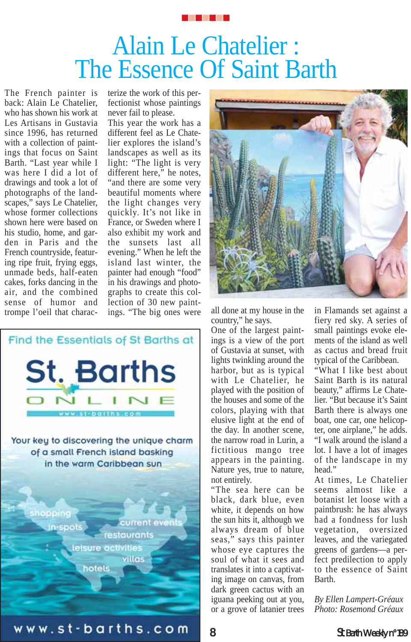

## Alain Le Chatelier : The Essence Of Saint Barth

The French painter is back: Alain Le Chatelier, who has shown his work at Les Artisans in Gustavia since 1996, has returned with a collection of paintings that focus on Saint Barth. "Last year while I was here I did a lot of drawings and took a lot of photographs of the landscapes," says Le Chatelier, whose former collections shown here were based on his studio, home, and garden in Paris and the French countryside, featuring ripe fruit, frying eggs, unmade beds, half-eaten cakes, forks dancing in the air, and the combined sense of humor and trompe l'oeil that characterize the work of this perfectionist whose paintings never fail to please.

This year the work has a different feel as Le Chatelier explores the island's landscapes as well as its light: "The light is very different here," he notes, "and there are some very beautiful moments where the light changes very quickly. It's not like in France, or Sweden where I also exhibit my work and the sunsets last all evening." When he left the island last winter, the painter had enough "food" in his drawings and photographs to create this collection of 30 new paintings. "The big ones were all done at my house in the





country," he says.

One of the largest paintings is a view of the port of Gustavia at sunset, with lights twinkling around the harbor, but as is typical with Le Chatelier, he played with the position of the houses and some of the colors, playing with that elusive light at the end of the day. In another scene, the narrow road in Lurin, a fictitious mango tree appears in the painting. Nature yes, true to nature, not entirely.

"The sea here can be black, dark blue, even white, it depends on how the sun hits it, although we always dream of blue seas," says this painter whose eye captures the soul of what it sees and translates it into a captivating image on canvas, from dark green cactus with an iguana peeking out at you, or a grove of latanier trees in Flamands set against a fiery red sky. A series of small paintings evoke elements of the island as well as cactus and bread fruit typical of the Caribbean.

"What I like best about Saint Barth is its natural beauty," affirms Le Chatelier. "But because it's Saint Barth there is always one boat, one car, one helicopter, one airplane," he adds. "I walk around the island a lot. I have a lot of images of the landscape in my head."

At times, Le Chatelier seems almost like a botanist let loose with a paintbrush: he has always had a fondness for lush vegetation, oversized leaves, and the variegated greens of gardens—a perfect predilection to apply to the essence of Saint Barth.

*By Ellen Lampert-Gréaux Photo: Rosemond Gréaux*